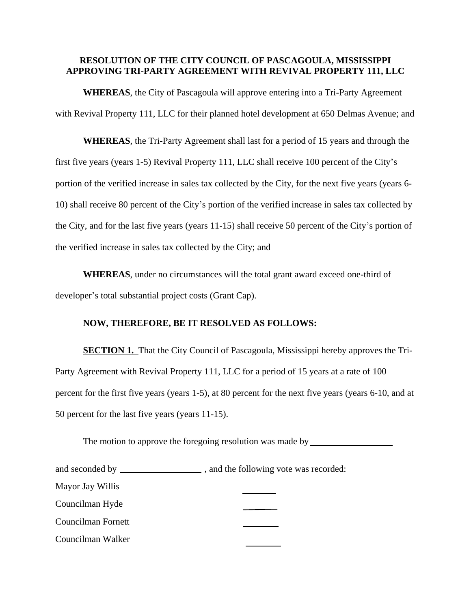## **RESOLUTION OF THE CITY COUNCIL OF PASCAGOULA, MISSISSIPPI APPROVING TRI-PARTY AGREEMENT WITH REVIVAL PROPERTY 111, LLC**

**WHEREAS**, the City of Pascagoula will approve entering into a Tri-Party Agreement with Revival Property 111, LLC for their planned hotel development at 650 Delmas Avenue; and

**WHEREAS**, the Tri-Party Agreement shall last for a period of 15 years and through the first five years (years 1-5) Revival Property 111, LLC shall receive 100 percent of the City's portion of the verified increase in sales tax collected by the City, for the next five years (years 6- 10) shall receive 80 percent of the City's portion of the verified increase in sales tax collected by the City, and for the last five years (years 11-15) shall receive 50 percent of the City's portion of the verified increase in sales tax collected by the City; and

**WHEREAS**, under no circumstances will the total grant award exceed one-third of developer's total substantial project costs (Grant Cap).

## **NOW, THEREFORE, BE IT RESOLVED AS FOLLOWS:**

**SECTION 1.** That the City Council of Pascagoula, Mississippi hereby approves the Tri-Party Agreement with Revival Property 111, LLC for a period of 15 years at a rate of 100 percent for the first five years (years 1-5), at 80 percent for the next five years (years 6-10, and at 50 percent for the last five years (years 11-15).

The motion to approve the foregoing resolution was made by \_\_\_\_\_\_\_\_\_\_\_\_\_\_\_\_\_\_\_\_\_

| and seconded by | , and the following vote was recorded: |  |
|-----------------|----------------------------------------|--|
|-----------------|----------------------------------------|--|

Mayor Jay Willis

Councilman Hyde

Councilman Fornett

Councilman Walker